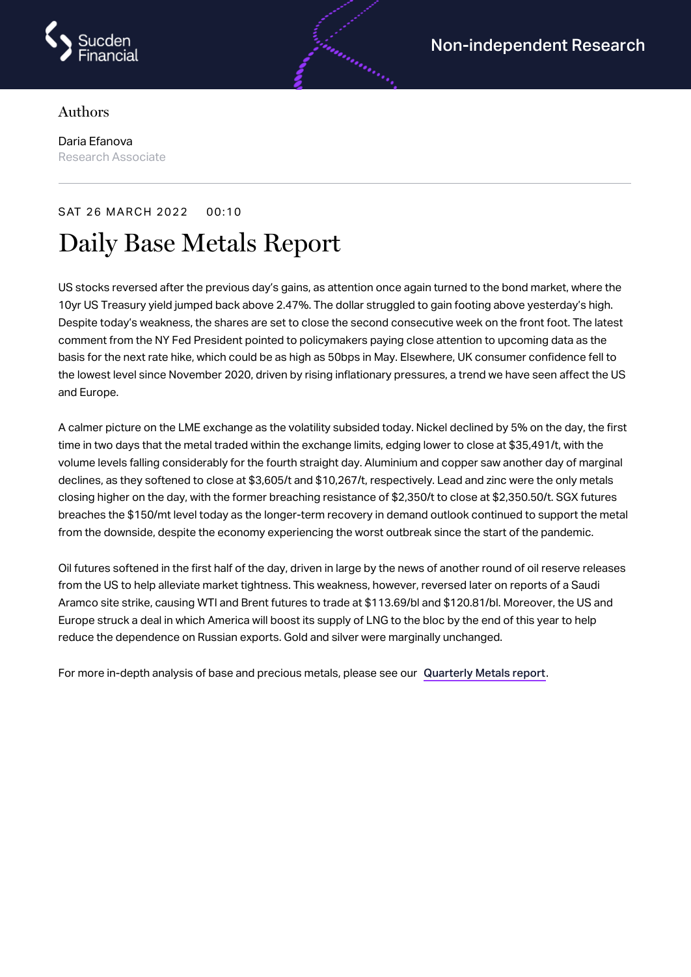

## Authors

Daria Efanova Research Associate

## SAT 26 MARCH 2022 00:10 Daily Base Metals Report

US stocks reversed after the previous day's gains, as attention once again turned to the bond market, where the 10yr US Treasury yield jumped back above 2.47%. The dollar struggled to gain footing above yesterday's high. Despite today's weakness, the shares are set to close the second consecutive week on the front foot. The latest comment from the NY Fed President pointed to policymakers paying close attention to upcoming data as the basis for the next rate hike, which could be as high as 50bps in May. Elsewhere, UK consumer confidence fell to the lowest level since November 2020, driven by rising inflationary pressures, a trend we have seen affect the US and Europe.

A calmer picture on the LME exchange as the volatility subsided today. Nickel declined by 5% on the day, the first time in two days that the metal traded within the exchange limits, edging lower to close at \$35,491/t, with the volume levels falling considerably for the fourth straight day. Aluminium and copper saw another day of marginal declines, as they softened to close at \$3,605/t and \$10,267/t, respectively. Lead and zinc were the only metals closing higher on the day, with the former breaching resistance of \$2,350/t to close at \$2,350.50/t. SGX futures breaches the \$150/mt level today as the longer-term recovery in demand outlook continued to support the metal from the downside, despite the economy experiencing the worst outbreak since the start of the pandemic.

Oil futures softened in the first half of the day, driven in large by the news of another round of oil reserve releases from the US to help alleviate market tightness. This weakness, however, reversed later on reports of a Saudi Aramco site strike, causing WTI and Brent futures to trade at \$113.69/bl and \$120.81/bl. Moreover, the US and Europe struck a deal in which America will boost its supply of LNG to the bloc by the end of this year to help reduce the dependence on Russian exports. Gold and silver were marginally unchanged.

For more in-depth analysis of base and precious metals, please see our [Quarterly](https://www.sucdenfinancial.com/en/reports/quarterly-metals/qmr-q1-2022/) Metals report.